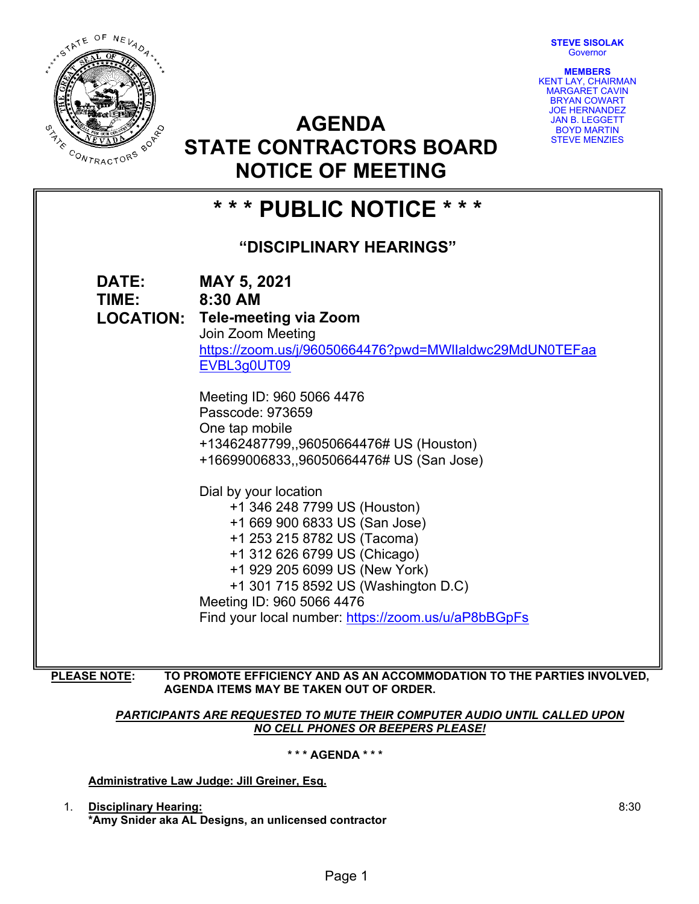**STEVE SISOLAK Governor** 

**MEMBERS**  KENT LAY, CHAIRMAN MARGARET CAVIN BRYAN COWART JOE HERNANDEZ JAN B. LEGGETT BOYD MARTIN STEVE MENZIES



**AGENDA STATE CONTRACTORS BOARD** 

| RACTORS                                   | 9 IATE VUNTIVAV I VINJ DUAND<br><b>NOTICE OF MEETING</b>                                                                                                                                                                                                                                                          |
|-------------------------------------------|-------------------------------------------------------------------------------------------------------------------------------------------------------------------------------------------------------------------------------------------------------------------------------------------------------------------|
| *** PUBLIC NOTICE ***                     |                                                                                                                                                                                                                                                                                                                   |
| "DISCIPLINARY HEARINGS"                   |                                                                                                                                                                                                                                                                                                                   |
| DATE:<br><b>TIME:</b><br><b>LOCATION:</b> | <b>MAY 5, 2021</b><br>8:30 AM<br><b>Tele-meeting via Zoom</b><br>Join Zoom Meeting<br>https://zoom.us/j/96050664476?pwd=MWllaldwc29MdUN0TEFaa<br>EVBL3g0UT09                                                                                                                                                      |
|                                           | Meeting ID: 960 5066 4476<br>Passcode: 973659<br>One tap mobile<br>+13462487799,,96050664476# US (Houston)<br>+16699006833,,96050664476# US (San Jose)                                                                                                                                                            |
|                                           | Dial by your location<br>+1 346 248 7799 US (Houston)<br>+1 669 900 6833 US (San Jose)<br>+1 253 215 8782 US (Tacoma)<br>+1 312 626 6799 US (Chicago)<br>+1 929 205 6099 US (New York)<br>+1 301 715 8592 US (Washington D.C)<br>Meeting ID: 960 5066 4476<br>Find your local number: https://zoom.us/u/aP8bBGpFs |

**PLEASE NOTE: TO PROMOTE EFFICIENCY AND AS AN ACCOMMODATION TO THE PARTIES INVOLVED, AGENDA ITEMS MAY BE TAKEN OUT OF ORDER.**

> **PARTICIPANTS ARE REQUESTED TO MUTE THEIR COMPUTER AUDIO UNTIL CALLED UPON** *NO CELL PHONES OR BEEPERS PLEASE!*

> > **\* \* \* AGENDA \* \* \***

**Administrative Law Judge: Jill Greiner, Esq.** 

1. **Disciplinary Hearing: \*Amy Snider aka AL Designs, an unlicensed contractor**  8:30